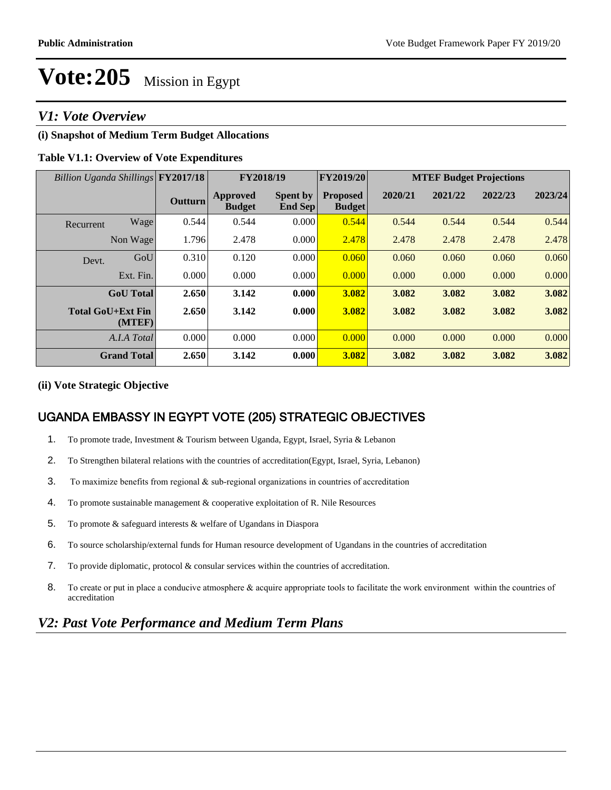## *V1: Vote Overview*

## **(i) Snapshot of Medium Term Budget Allocations**

## **Table V1.1: Overview of Vote Expenditures**

| Billion Uganda Shillings FY2017/18 |                    |         | FY2018/19                        |                            | FY2019/20                        | <b>MTEF Budget Projections</b> |         |         |         |  |
|------------------------------------|--------------------|---------|----------------------------------|----------------------------|----------------------------------|--------------------------------|---------|---------|---------|--|
|                                    |                    | Outturn | <b>Approved</b><br><b>Budget</b> | <b>Spent by</b><br>End Sep | <b>Proposed</b><br><b>Budget</b> | 2020/21                        | 2021/22 | 2022/23 | 2023/24 |  |
| Recurrent                          | Wage               | 0.544   | 0.544                            | 0.000                      | 0.544                            | 0.544                          | 0.544   | 0.544   | 0.544   |  |
|                                    | Non Wage           | 1.796   | 2.478                            | 0.000                      | 2.478                            | 2.478                          | 2.478   | 2.478   | 2.478   |  |
| Devt.                              | GoU                | 0.310   | 0.120                            | 0.000                      | 0.060                            | 0.060                          | 0.060   | 0.060   | 0.060   |  |
|                                    | Ext. Fin.          | 0.000   | 0.000                            | 0.000                      | 0.000                            | 0.000                          | 0.000   | 0.000   | 0.000   |  |
|                                    | <b>GoU</b> Total   | 2.650   | 3.142                            | 0.000                      | 3.082                            | 3.082                          | 3.082   | 3.082   | 3.082   |  |
| <b>Total GoU+Ext Fin</b>           | (MTEF)             | 2.650   | 3.142                            | 0.000                      | 3.082                            | 3.082                          | 3.082   | 3.082   | 3.082   |  |
|                                    | A.I.A Total        | 0.000   | 0.000                            | 0.000                      | 0.000                            | 0.000                          | 0.000   | 0.000   | 0.000   |  |
|                                    | <b>Grand Total</b> | 2.650   | 3.142                            | 0.000                      | 3.082                            | 3.082                          | 3.082   | 3.082   | 3.082   |  |

### **(ii) Vote Strategic Objective**

## UGANDA EMBASSY IN EGYPT VOTE (205) STRATEGIC OBJECTIVES

- 1. To promote trade, Investment & Tourism between Uganda, Egypt, Israel, Syria & Lebanon
- 2. To Strengthen bilateral relations with the countries of accreditation(Egypt, Israel, Syria, Lebanon)
- 3. To maximize benefits from regional  $\&$  sub-regional organizations in countries of accreditation
- 4. To promote sustainable management  $\&$  cooperative exploitation of R. Nile Resources
- 5. To promote & safeguard interests & welfare of Ugandans in Diaspora
- 6. To source scholarship/external funds for Human resource development of Ugandans in the countries of accreditation
- 7. To provide diplomatic, protocol & consular services within the countries of accreditation.
- 8. To create or put in place a conducive atmosphere & acquire appropriate tools to facilitate the work environment within the countries of accreditation

## *V2: Past Vote Performance and Medium Term Plans*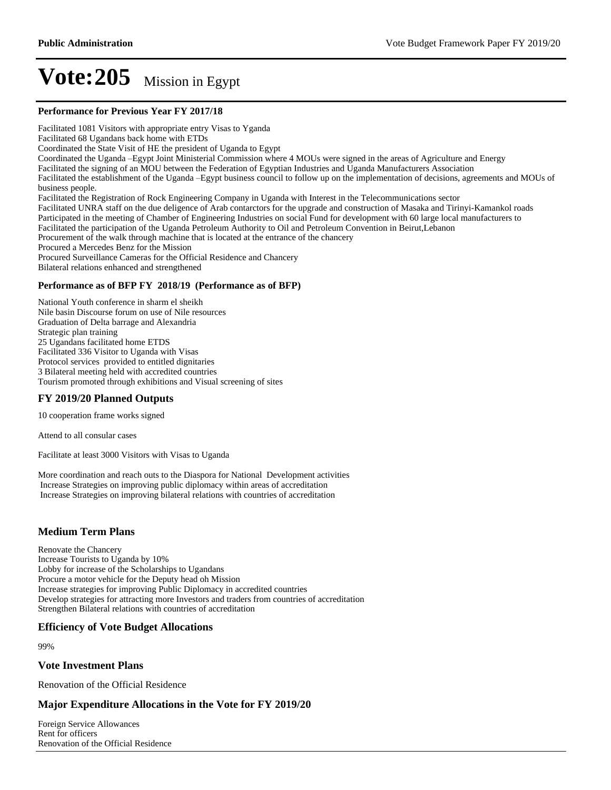#### **Performance for Previous Year FY 2017/18**

Facilitated 1081 Visitors with appropriate entry Visas to Yganda Facilitated 68 Ugandans back home with ETDs Coordinated the State Visit of HE the president of Uganda to Egypt Coordinated the Uganda -Egypt Joint Ministerial Commission where 4 MOUs were signed in the areas of Agriculture and Energy Facilitated the signing of an MOU between the Federation of Egyptian Industries and Uganda Manufacturers Association Facilitated the establishment of the Uganda -Egypt business council to follow up on the implementation of decisions, agreements and MOUs of business people. Facilitated the Registration of Rock Engineering Company in Uganda with Interest in the Telecommunications sector Facilitated UNRA staff on the due deligence of Arab contarctors for the upgrade and construction of Masaka and Tirinyi-Kamankol roads Participated in the meeting of Chamber of Engineering Industries on social Fund for development with 60 large local manufacturers to Facilitated the participation of the Uganda Petroleum Authority to Oil and Petroleum Convention in Beirut,Lebanon Procurement of the walk through machine that is located at the entrance of the chancery Procured a Mercedes Benz for the Mission Procured Surveillance Cameras for the Official Residence and Chancery Bilateral relations enhanced and strengthened **Performance as of BFP FY 2018/19 (Performance as of BFP)**

National Youth conference in sharm el sheikh Nile basin Discourse forum on use of Nile resources Graduation of Delta barrage and Alexandria Strategic plan training 25 Ugandans facilitated home ETDS Facilitated 336 Visitor to Uganda with Visas Protocol services provided to entitled dignitaries 3 Bilateral meeting held with accredited countries Tourism promoted through exhibitions and Visual screening of sites

### **FY 2019/20 Planned Outputs**

10 cooperation frame works signed

Attend to all consular cases

Facilitate at least 3000 Visitors with Visas to Uganda

More coordination and reach outs to the Diaspora for National Development activities Increase Strategies on improving public diplomacy within areas of accreditation Increase Strategies on improving bilateral relations with countries of accreditation

### **Medium Term Plans**

Renovate the Chancery Increase Tourists to Uganda by 10% Lobby for increase of the Scholarships to Ugandans Procure a motor vehicle for the Deputy head oh Mission Increase strategies for improving Public Diplomacy in accredited countries Develop strategies for attracting more Investors and traders from countries of accreditation Strengthen Bilateral relations with countries of accreditation

#### **Efficiency of Vote Budget Allocations**

99%

#### **Vote Investment Plans**

Renovation of the Official Residence

### **Major Expenditure Allocations in the Vote for FY 2019/20**

Foreign Service Allowances Rent for officers Renovation of the Official Residence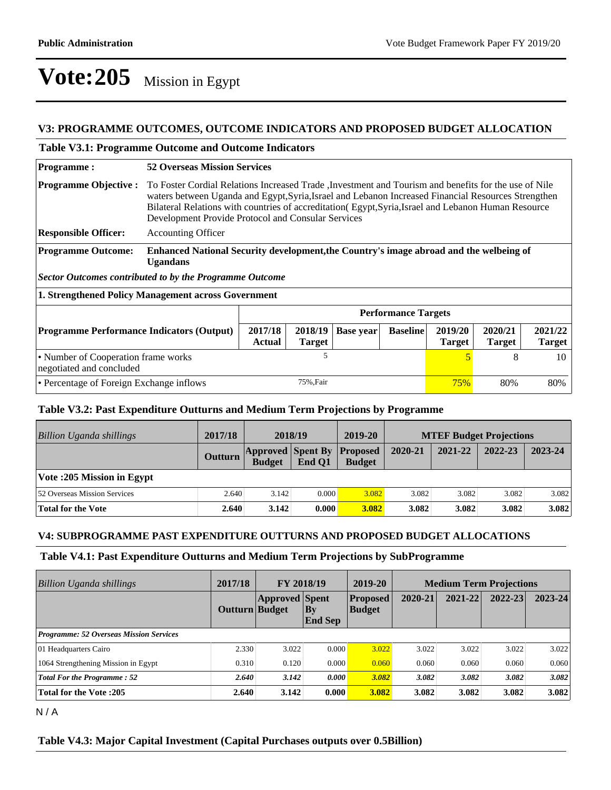## **V3: PROGRAMME OUTCOMES, OUTCOME INDICATORS AND PROPOSED BUDGET ALLOCATION**

## **Table V3.1: Programme Outcome and Outcome Indicators**

| <b>Programme:</b>                                               | <b>52 Overseas Mission Services</b>                                                                                                                                                                                                                                                                                                                                        |                          |                  |                 |                          |                          |                          |  |
|-----------------------------------------------------------------|----------------------------------------------------------------------------------------------------------------------------------------------------------------------------------------------------------------------------------------------------------------------------------------------------------------------------------------------------------------------------|--------------------------|------------------|-----------------|--------------------------|--------------------------|--------------------------|--|
| <b>Programme Objective:</b>                                     | To Foster Cordial Relations Increased Trade , Investment and Tourism and benefits for the use of Nile<br>waters between Uganda and Egypt, Syria, Israel and Lebanon Increased Financial Resources Strengthen<br>Bilateral Relations with countries of accreditation (Egypt, Syria, Israel and Lebanon Human Resource<br>Development Provide Protocol and Consular Services |                          |                  |                 |                          |                          |                          |  |
| <b>Responsible Officer:</b>                                     | <b>Accounting Officer</b>                                                                                                                                                                                                                                                                                                                                                  |                          |                  |                 |                          |                          |                          |  |
| <b>Programme Outcome:</b>                                       | <b>Enhanced National Security development, the Country's image abroad and the welbeing of</b><br><b>Ugandans</b>                                                                                                                                                                                                                                                           |                          |                  |                 |                          |                          |                          |  |
| <b>Sector Outcomes contributed to by the Programme Outcome</b>  |                                                                                                                                                                                                                                                                                                                                                                            |                          |                  |                 |                          |                          |                          |  |
| 1. Strengthened Policy Management across Government             |                                                                                                                                                                                                                                                                                                                                                                            |                          |                  |                 |                          |                          |                          |  |
|                                                                 | <b>Performance Targets</b>                                                                                                                                                                                                                                                                                                                                                 |                          |                  |                 |                          |                          |                          |  |
| <b>Programme Performance Indicators (Output)</b>                | 2017/18<br><b>Actual</b>                                                                                                                                                                                                                                                                                                                                                   | 2018/19<br><b>Target</b> | <b>Base year</b> | <b>Baseline</b> | 2019/20<br><b>Target</b> | 2020/21<br><b>Target</b> | 2021/22<br><b>Target</b> |  |
| • Number of Cooperation frame works<br>negotiated and concluded | 5                                                                                                                                                                                                                                                                                                                                                                          |                          |                  |                 | $\overline{5}$           | 8                        | 10                       |  |
| • Percentage of Foreign Exchange inflows                        | 75%, Fair<br>80%<br>75%                                                                                                                                                                                                                                                                                                                                                    |                          |                  |                 |                          | 80%                      |                          |  |

## **Table V3.2: Past Expenditure Outturns and Medium Term Projections by Programme**

| Billion Uganda shillings     | 2017/18        | 2018/19       |                                    | 2019-20                          | <b>MTEF Budget Projections</b> |         |         |         |
|------------------------------|----------------|---------------|------------------------------------|----------------------------------|--------------------------------|---------|---------|---------|
|                              | <b>Outturn</b> | <b>Budget</b> | <b>Approved Spent By</b><br>End O1 | <b>Proposed</b><br><b>Budget</b> | 2020-21                        | 2021-22 | 2022-23 | 2023-24 |
| Vote :205 Mission in Egypt   |                |               |                                    |                                  |                                |         |         |         |
| 52 Overseas Mission Services | 2.640          | 3.142         | 0.000                              | 3.082                            | 3.082                          | 3.082   | 3.082   | 3.082   |
| Total for the Vote           | 2.640          | 3.142         | 0.000                              | 3.082                            | 3.082                          | 3.082   | 3.082   | 3.082   |

## **V4: SUBPROGRAMME PAST EXPENDITURE OUTTURNS AND PROPOSED BUDGET ALLOCATIONS**

### **Table V4.1: Past Expenditure Outturns and Medium Term Projections by SubProgramme**

| Billion Uganda shillings                       | 2017/18        | <b>FY 2018/19</b>     |                      | 2019-20                          | <b>Medium Term Projections</b> |         |             |             |
|------------------------------------------------|----------------|-----------------------|----------------------|----------------------------------|--------------------------------|---------|-------------|-------------|
|                                                | Outturn Budget | <b>Approved Spent</b> | Bv<br><b>End Sep</b> | <b>Proposed</b><br><b>Budget</b> | 2020-21                        | 2021-22 | $2022 - 23$ | $2023 - 24$ |
| <b>Programme: 52 Overseas Mission Services</b> |                |                       |                      |                                  |                                |         |             |             |
| 01 Headquarters Cairo                          | 2.330          | 3.022                 | 0.000                | 3.022                            | 3.022                          | 3.022   | 3.022       | 3.022       |
| 1064 Strengthening Mission in Egypt            | 0.310          | 0.120                 | 0.000                | 0.060                            | 0.060                          | 0.060   | 0.060       | 0.060       |
| <b>Total For the Programme: 52</b>             | 2.640          | 3.142                 | 0.000                | 3.082                            | 3.082                          | 3.082   | 3.082       | 3.082       |
| <b>Total for the Vote: 205</b>                 | 2.640          | 3.142                 | 0.000                | 3.082                            | 3.082                          | 3.082   | 3.082       | 3.082       |

N / A

### **Table V4.3: Major Capital Investment (Capital Purchases outputs over 0.5Billion)**